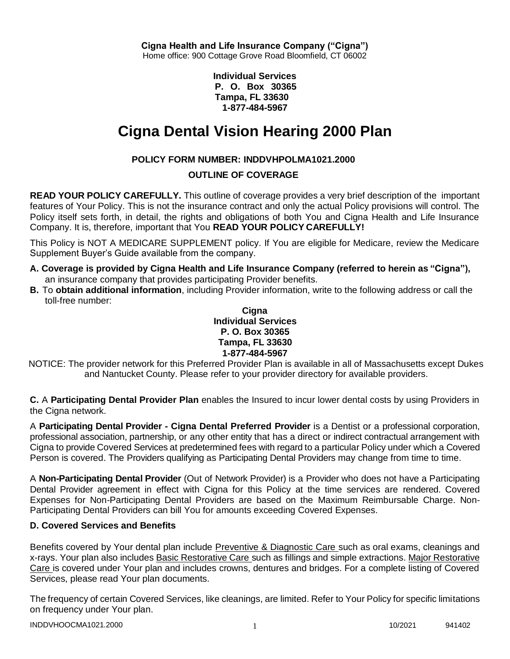**Individual Services P. O. Box 30365 Tampa, FL 33630 1-877-484-5967**

# **Cigna Dental Vision Hearing 2000 Plan**

# **POLICY FORM NUMBER: INDDVHPOLMA1021.2000**

# **OUTLINE OF COVERAGE**

**READ YOUR POLICY CAREFULLY.** This outline of coverage provides a very brief description of the important features of Your Policy. This is not the insurance contract and only the actual Policy provisions will control. The Policy itself sets forth, in detail, the rights and obligations of both You and Cigna Health and Life Insurance Company. It is, therefore, important that You **READ YOUR POLICY CAREFULLY!**

This Policy is NOT A MEDICARE SUPPLEMENT policy. If You are eligible for Medicare, review the Medicare Supplement Buyer's Guide available from the company.

- **A. Coverage is provided by Cigna Health and Life Insurance Company (referred to herein as "Cigna"),** an insurance company that provides participating Provider benefits.
- **B.** To **obtain additional information**, including Provider information, write to the following address or call the toll-free number:

**Cigna Individual Services P. O. Box 30365 Tampa, FL 33630 1-877-484-5967**

NOTICE: The provider network for this Preferred Provider Plan is available in all of Massachusetts except Dukes and Nantucket County. Please refer to your provider directory for available providers.

**C.** A **Participating Dental Provider Plan** enables the Insured to incur lower dental costs by using Providers in the Cigna network.

A **Participating Dental Provider - Cigna Dental Preferred Provider** is a Dentist or a professional corporation, professional association, partnership, or any other entity that has a direct or indirect contractual arrangement with Cigna to provide Covered Services at predetermined fees with regard to a particular Policy under which a Covered Person is covered. The Providers qualifying as Participating Dental Providers may change from time to time.

A **Non-Participating Dental Provider** (Out of Network Provider) is a Provider who does not have a Participating Dental Provider agreement in effect with Cigna for this Policy at the time services are rendered. Covered Expenses for Non-Participating Dental Providers are based on the Maximum Reimbursable Charge. Non-Participating Dental Providers can bill You for amounts exceeding Covered Expenses.

## **D. Covered Services and Benefits**

Benefits covered by Your dental plan include Preventive & Diagnostic Care such as oral exams, cleanings and x-rays. Your plan also includes Basic Restorative Care such as fillings and simple extractions. Major Restorative Care is covered under Your plan and includes crowns, dentures and bridges. For a complete listing of Covered Services, please read Your plan documents.

The frequency of certain Covered Services, like cleanings, are limited. Refer to Your Policy for specific limitations on frequency under Your plan.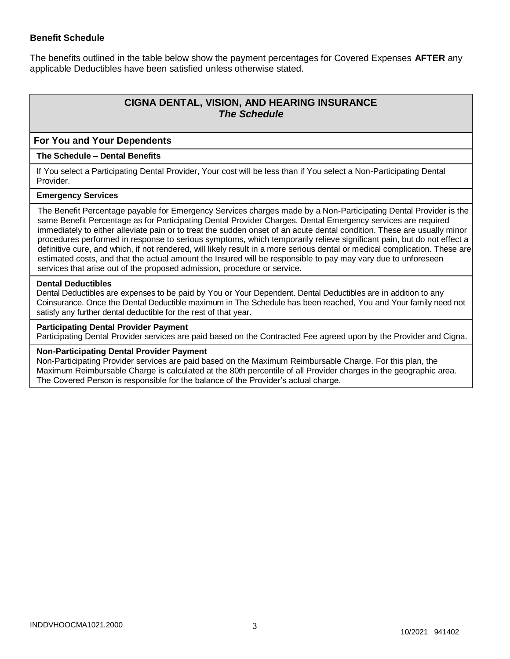# **Benefit Schedule**

The benefits outlined in the table below show the payment percentages for Covered Expenses **AFTER** any applicable Deductibles have been satisfied unless otherwise stated.

# **CIGNA DENTAL, VISION, AND HEARING INSURANCE** *The Schedule*

### **For You and Your Dependents**

#### **The Schedule – Dental Benefits**

If You select a Participating Dental Provider, Your cost will be less than if You select a Non-Participating Dental **Provider** 

#### **Emergency Services**

The Benefit Percentage payable for Emergency Services charges made by a Non-Participating Dental Provider is the same Benefit Percentage as for Participating Dental Provider Charges. Dental Emergency services are required immediately to either alleviate pain or to treat the sudden onset of an acute dental condition. These are usually minor procedures performed in response to serious symptoms, which temporarily relieve significant pain, but do not effect a definitive cure, and which, if not rendered, will likely result in a more serious dental or medical complication. These are estimated costs, and that the actual amount the Insured will be responsible to pay may vary due to unforeseen services that arise out of the proposed admission, procedure or service.

#### **Dental Deductibles**

Dental Deductibles are expenses to be paid by You or Your Dependent. Dental Deductibles are in addition to any Coinsurance. Once the Dental Deductible maximum in The Schedule has been reached, You and Your family need not satisfy any further dental deductible for the rest of that year.

#### **Participating Dental Provider Payment**

Participating Dental Provider services are paid based on the Contracted Fee agreed upon by the Provider and Cigna.

#### **Non-Participating Dental Provider Payment**

Non-Participating Provider services are paid based on the Maximum Reimbursable Charge. For this plan, the Maximum Reimbursable Charge is calculated at the 80th percentile of all Provider charges in the geographic area. The Covered Person is responsible for the balance of the Provider's actual charge.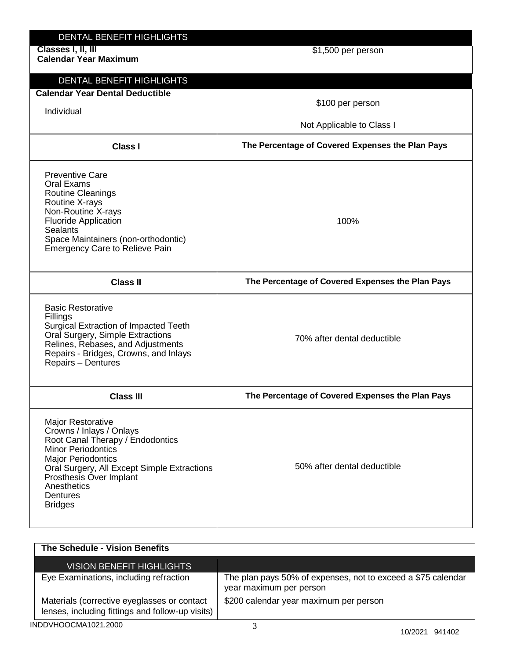| DENTAL BENEFIT HIGHLIGHTS<br>Classes I, II, III<br><b>Calendar Year Maximum</b>                                                                                                                                                                                    | \$1,500 per person                               |
|--------------------------------------------------------------------------------------------------------------------------------------------------------------------------------------------------------------------------------------------------------------------|--------------------------------------------------|
| DENTAL BENEFIT HIGHLIGHTS<br><b>Calendar Year Dental Deductible</b><br>Individual                                                                                                                                                                                  | \$100 per person<br>Not Applicable to Class I    |
| <b>Class I</b>                                                                                                                                                                                                                                                     | The Percentage of Covered Expenses the Plan Pays |
| <b>Preventive Care</b><br>Oral Exams<br><b>Routine Cleanings</b><br>Routine X-rays<br>Non-Routine X-rays<br><b>Fluoride Application</b><br><b>Sealants</b><br>Space Maintainers (non-orthodontic)<br><b>Emergency Care to Relieve Pain</b>                         | 100%                                             |
| <b>Class II</b>                                                                                                                                                                                                                                                    | The Percentage of Covered Expenses the Plan Pays |
| <b>Basic Restorative</b><br>Fillings<br>Surgical Extraction of Impacted Teeth<br>Oral Surgery, Simple Extractions<br>Relines, Rebases, and Adjustments<br>Repairs - Bridges, Crowns, and Inlays<br>Repairs - Dentures                                              | 70% after dental deductible                      |
| <b>Class III</b>                                                                                                                                                                                                                                                   | The Percentage of Covered Expenses the Plan Pays |
| Major Restorative<br>Crowns / Inlays / Onlays<br>Root Canal Therapy / Endodontics<br><b>Minor Periodontics</b><br><b>Major Periodontics</b><br>Oral Surgery, All Except Simple Extractions<br>Prosthesis Over Implant<br>Anesthetics<br>Dentures<br><b>Bridges</b> | 50% after dental deductible                      |

| The Schedule - Vision Benefits                                                                  |                                                                                         |
|-------------------------------------------------------------------------------------------------|-----------------------------------------------------------------------------------------|
| <b>VISION BENEFIT HIGHLIGHTS</b>                                                                |                                                                                         |
| Eye Examinations, including refraction                                                          | The plan pays 50% of expenses, not to exceed a \$75 calendar<br>year maximum per person |
| Materials (corrective eyeglasses or contact<br>lenses, including fittings and follow-up visits) | \$200 calendar year maximum per person                                                  |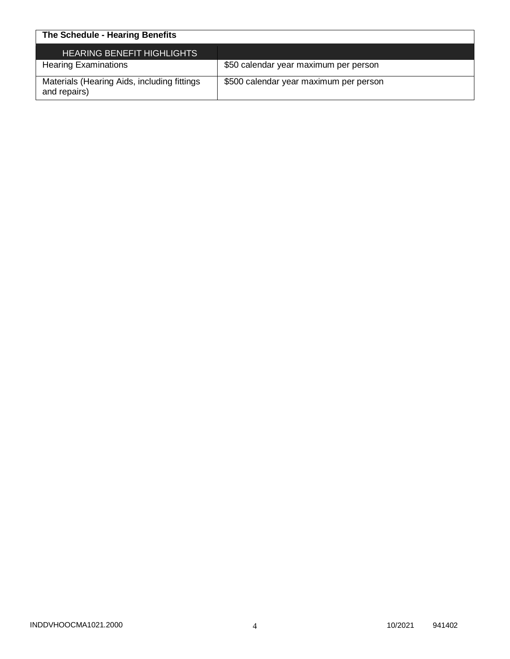| The Schedule - Hearing Benefits                             |                                        |
|-------------------------------------------------------------|----------------------------------------|
| <b>HEARING BENEFIT HIGHLIGHTS</b>                           |                                        |
| <b>Hearing Examinations</b>                                 | \$50 calendar year maximum per person  |
| Materials (Hearing Aids, including fittings<br>and repairs) | \$500 calendar year maximum per person |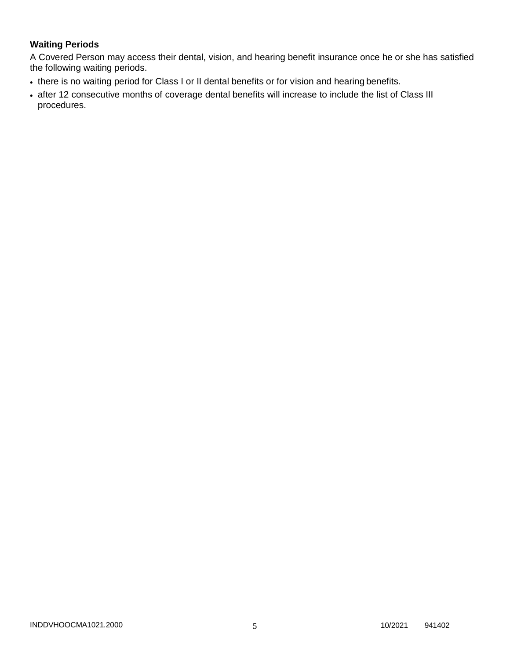# **Waiting Periods**

A Covered Person may access their dental, vision, and hearing benefit insurance once he or she has satisfied the following waiting periods.

- there is no waiting period for Class I or II dental benefits or for vision and hearing benefits.
- after 12 consecutive months of coverage dental benefits will increase to include the list of Class III procedures.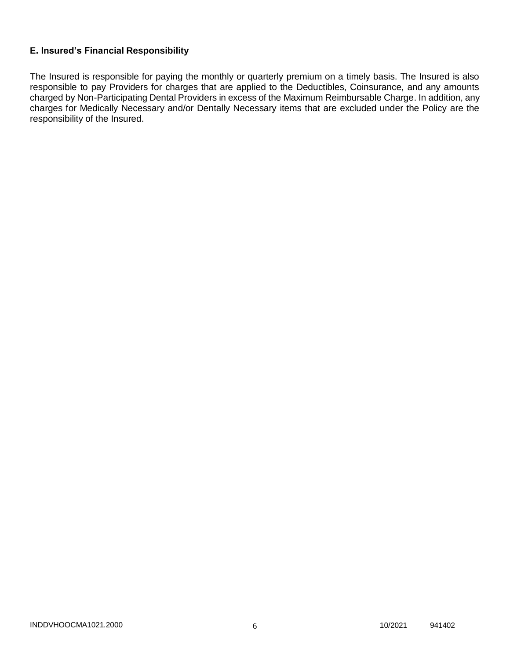# **E. Insured's Financial Responsibility**

The Insured is responsible for paying the monthly or quarterly premium on a timely basis. The Insured is also responsible to pay Providers for charges that are applied to the Deductibles, Coinsurance, and any amounts charged by Non-Participating Dental Providers in excess of the Maximum Reimbursable Charge. In addition, any charges for Medically Necessary and/or Dentally Necessary items that are excluded under the Policy are the responsibility of the Insured.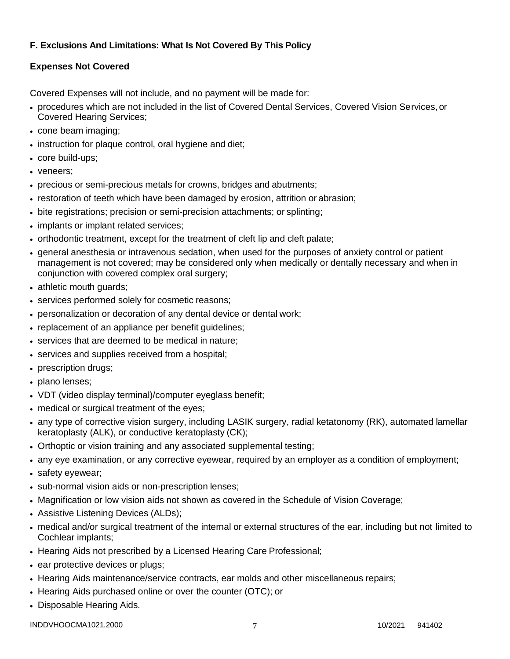# **F. Exclusions And Limitations: What Is Not Covered By This Policy**

# **Expenses Not Covered**

Covered Expenses will not include, and no payment will be made for:

- procedures which are not included in the list of Covered Dental Services, Covered Vision Services,or Covered Hearing Services;
- cone beam imaging;
- instruction for plaque control, oral hygiene and diet;
- core build-ups;
- veneers:
- precious or semi-precious metals for crowns, bridges and abutments;
- restoration of teeth which have been damaged by erosion, attrition or abrasion;
- bite registrations; precision or semi-precision attachments; or splinting;
- implants or implant related services;
- orthodontic treatment, except for the treatment of cleft lip and cleft palate;
- general anesthesia or intravenous sedation, when used for the purposes of anxiety control or patient management is not covered; may be considered only when medically or dentally necessary and when in conjunction with covered complex oral surgery;
- athletic mouth guards;
- services performed solely for cosmetic reasons;
- personalization or decoration of any dental device or dental work;
- replacement of an appliance per benefit quidelines;
- services that are deemed to be medical in nature:
- services and supplies received from a hospital;
- prescription drugs;
- plano lenses:
- VDT (video display terminal)/computer eyeglass benefit;
- medical or surgical treatment of the eyes;
- any type of corrective vision surgery, including LASIK surgery, radial ketatonomy (RK), automated lamellar keratoplasty (ALK), or conductive keratoplasty (CK);
- Orthoptic or vision training and any associated supplemental testing;
- any eye examination, or any corrective eyewear, required by an employer as a condition of employment;
- safety eyewear;
- sub-normal vision aids or non-prescription lenses;
- Magnification or low vision aids not shown as covered in the Schedule of Vision Coverage;
- Assistive Listening Devices (ALDs);
- medical and/or surgical treatment of the internal or external structures of the ear, including but not limited to Cochlear implants;
- Hearing Aids not prescribed by a Licensed Hearing Care Professional;
- ear protective devices or plugs;
- Hearing Aids maintenance/service contracts, ear molds and other miscellaneous repairs;
- Hearing Aids purchased online or over the counter (OTC); or
- Disposable Hearing Aids.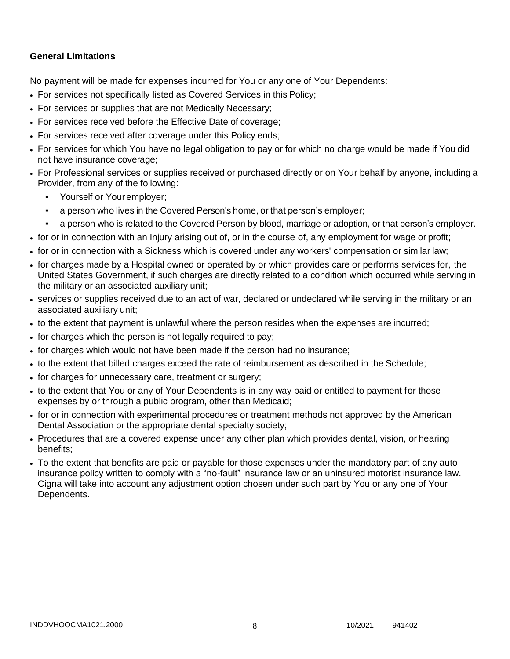# **General Limitations**

No payment will be made for expenses incurred for You or any one of Your Dependents:

- For services not specifically listed as Covered Services in this Policy;
- For services or supplies that are not Medically Necessary;
- For services received before the Effective Date of coverage;
- For services received after coverage under this Policy ends;
- For services for which You have no legal obligation to pay or for which no charge would be made if You did not have insurance coverage;
- For Professional services or supplies received or purchased directly or on Your behalf by anyone, including a Provider, from any of the following:
	- Yourself or Youremployer;
	- a person who lives in the Covered Person's home, or that person's employer;
	- a person who is related to the Covered Person by blood, marriage or adoption, or that person's employer.
- for or in connection with an Injury arising out of, or in the course of, any employment for wage or profit;
- for or in connection with a Sickness which is covered under any workers' compensation or similar law;
- for charges made by a Hospital owned or operated by or which provides care or performs services for, the United States Government, if such charges are directly related to a condition which occurred while serving in the military or an associated auxiliary unit;
- services or supplies received due to an act of war, declared or undeclared while serving in the military or an associated auxiliary unit;
- to the extent that payment is unlawful where the person resides when the expenses are incurred;
- for charges which the person is not legally required to pay;
- for charges which would not have been made if the person had no insurance;
- to the extent that billed charges exceed the rate of reimbursement as described in the Schedule;
- for charges for unnecessary care, treatment or surgery;
- to the extent that You or any of Your Dependents is in any way paid or entitled to payment for those expenses by or through a public program, other than Medicaid;
- for or in connection with experimental procedures or treatment methods not approved by the American Dental Association or the appropriate dental specialty society;
- Procedures that are a covered expense under any other plan which provides dental, vision, or hearing benefits;
- To the extent that benefits are paid or payable for those expenses under the mandatory part of any auto insurance policy written to comply with a "no-fault" insurance law or an uninsured motorist insurance law. Cigna will take into account any adjustment option chosen under such part by You or any one of Your Dependents.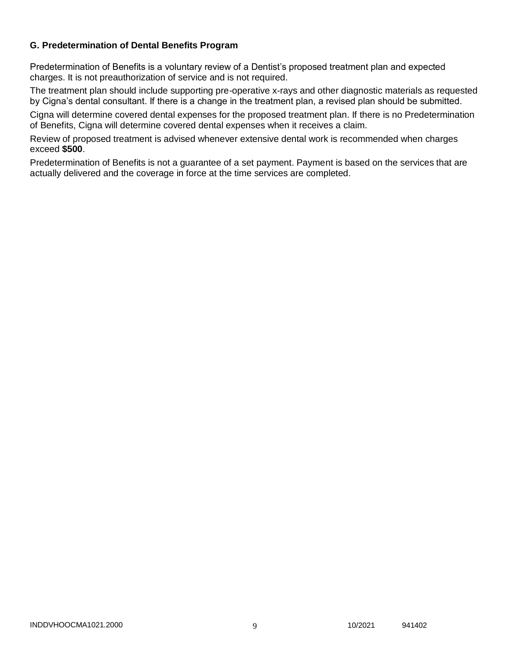# **G. Predetermination of Dental Benefits Program**

Predetermination of Benefits is a voluntary review of a Dentist's proposed treatment plan and expected charges. It is not preauthorization of service and is not required.

The treatment plan should include supporting pre-operative x-rays and other diagnostic materials as requested by Cigna's dental consultant. If there is a change in the treatment plan, a revised plan should be submitted.

Cigna will determine covered dental expenses for the proposed treatment plan. If there is no Predetermination of Benefits, Cigna will determine covered dental expenses when it receives a claim.

Review of proposed treatment is advised whenever extensive dental work is recommended when charges exceed **\$500**.

Predetermination of Benefits is not a guarantee of a set payment. Payment is based on the services that are actually delivered and the coverage in force at the time services are completed.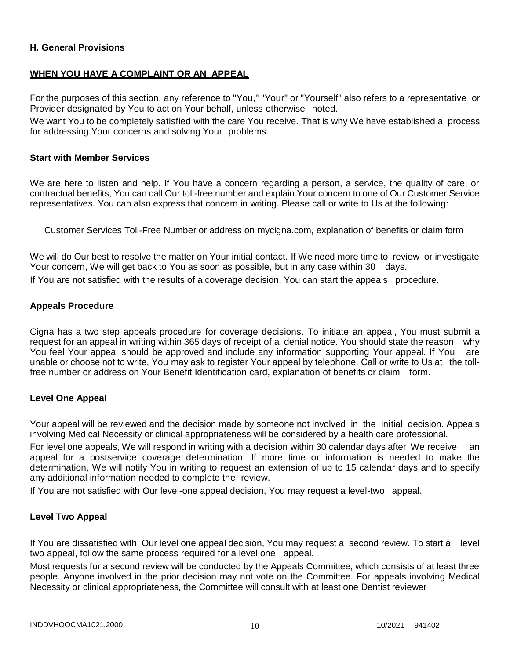## **H. General Provisions**

### **WHEN YOU HAVE A COMPLAINT OR AN APPEAL**

For the purposes of this section, any reference to "You," "Your" or "Yourself" also refers to a representative or Provider designated by You to act on Your behalf, unless otherwise noted.

We want You to be completely satisfied with the care You receive. That is why We have established a process for addressing Your concerns and solving Your problems.

#### **Start with Member Services**

We are here to listen and help. If You have a concern regarding a person, a service, the quality of care, or contractual benefits, You can call Our toll-free number and explain Your concern to one of Our Customer Service representatives. You can also express that concern in writing. Please call or write to Us at the following:

Customer Services Toll-Free Number or address on mycigna.com, explanation of benefits or claim form

We will do Our best to resolve the matter on Your initial contact. If We need more time to review or investigate Your concern, We will get back to You as soon as possible, but in any case within 30 days.

If You are not satisfied with the results of a coverage decision, You can start the appeals procedure.

### **Appeals Procedure**

Cigna has a two step appeals procedure for coverage decisions. To initiate an appeal, You must submit a request for an appeal in writing within 365 days of receipt of a denial notice. You should state the reason why You feel Your appeal should be approved and include any information supporting Your appeal. If You are unable or choose not to write, You may ask to register Your appeal by telephone. Call or write to Us at the tollfree number or address on Your Benefit Identification card, explanation of benefits or claim form.

### **Level One Appeal**

Your appeal will be reviewed and the decision made by someone not involved in the initial decision. Appeals involving Medical Necessity or clinical appropriateness will be considered by a health care professional.

For level one appeals, We will respond in writing with a decision within 30 calendar days after We receive an appeal for a postservice coverage determination. If more time or information is needed to make the determination, We will notify You in writing to request an extension of up to 15 calendar days and to specify any additional information needed to complete the review.

If You are not satisfied with Our level-one appeal decision, You may request a level-two appeal.

### **Level Two Appeal**

If You are dissatisfied with Our level one appeal decision, You may request a second review. To start a level two appeal, follow the same process required for a level one appeal.

Most requests for a second review will be conducted by the Appeals Committee, which consists of at least three people. Anyone involved in the prior decision may not vote on the Committee. For appeals involving Medical Necessity or clinical appropriateness, the Committee will consult with at least one Dentist reviewer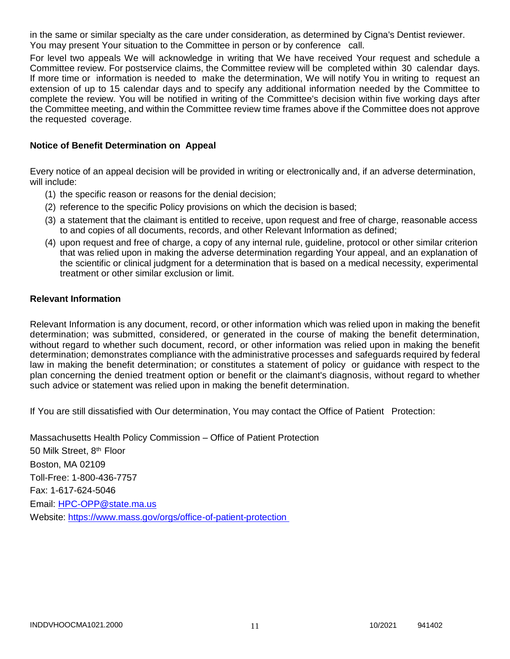in the same or similar specialty as the care under consideration, as determined by Cigna's Dentist reviewer. You may present Your situation to the Committee in person or by conference call.

For level two appeals We will acknowledge in writing that We have received Your request and schedule a Committee review. For postservice claims, the Committee review will be completed within 30 calendar days. If more time or information is needed to make the determination, We will notify You in writing to request an extension of up to 15 calendar days and to specify any additional information needed by the Committee to complete the review. You will be notified in writing of the Committee's decision within five working days after the Committee meeting, and within the Committee review time frames above if the Committee does not approve the requested coverage.

### **Notice of Benefit Determination on Appeal**

Every notice of an appeal decision will be provided in writing or electronically and, if an adverse determination, will include:

- (1) the specific reason or reasons for the denial decision;
- (2) reference to the specific Policy provisions on which the decision is based;
- (3) a statement that the claimant is entitled to receive, upon request and free of charge, reasonable access to and copies of all documents, records, and other Relevant Information as defined;
- (4) upon request and free of charge, a copy of any internal rule, guideline, protocol or other similar criterion that was relied upon in making the adverse determination regarding Your appeal, and an explanation of the scientific or clinical judgment for a determination that is based on a medical necessity, experimental treatment or other similar exclusion or limit.

### **Relevant Information**

Relevant Information is any document, record, or other information which was relied upon in making the benefit determination; was submitted, considered, or generated in the course of making the benefit determination, without regard to whether such document, record, or other information was relied upon in making the benefit determination; demonstrates compliance with the administrative processes and safeguards required by federal law in making the benefit determination; or constitutes a statement of policy or guidance with respect to the plan concerning the denied treatment option or benefit or the claimant's diagnosis, without regard to whether such advice or statement was relied upon in making the benefit determination.

If You are still dissatisfied with Our determination, You may contact the Office of Patient Protection:

Massachusetts Health Policy Commission – Office of Patient Protection 50 Milk Street, 8<sup>th</sup> Floor Boston, MA 02109 Toll-Free: 1-800-436-7757 Fax: 1-617-624-5046 Email: [HPC-OPP@state.ma.us](mailto:HPC-OPP@state.ma.us) Website:<https://www.mass.gov/orgs/office-of-patient-protection>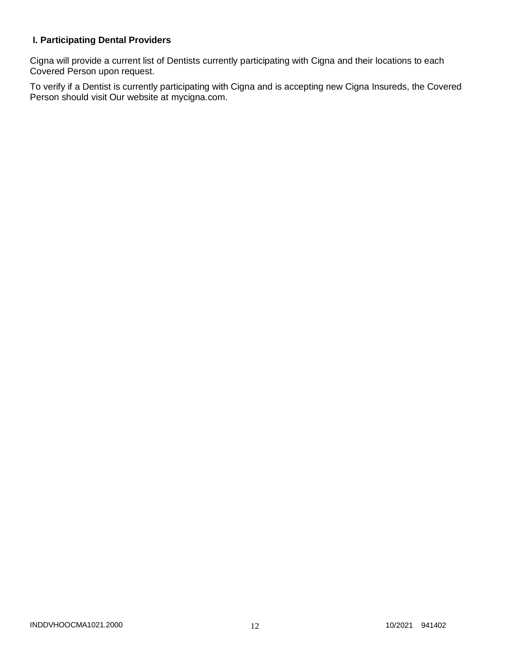# **I. Participating Dental Providers**

Cigna will provide a current list of Dentists currently participating with Cigna and their locations to each Covered Person upon request.

To verify if a Dentist is currently participating with Cigna and is accepting new Cigna Insureds, the Covered Person should visit Our website at mycigna.com.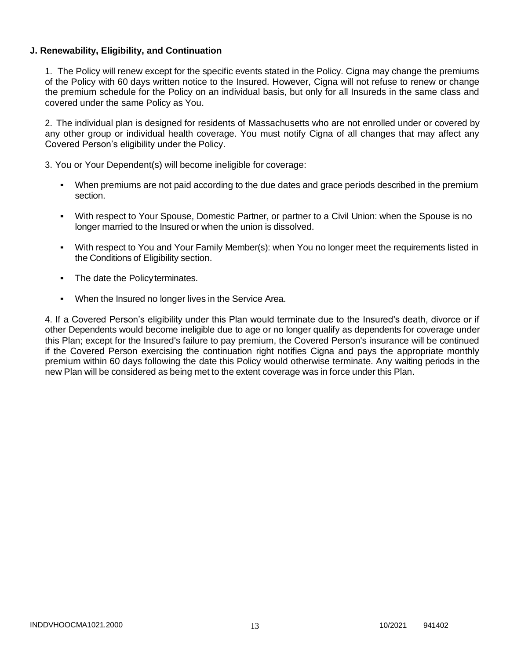## **J. Renewability, Eligibility, and Continuation**

1. The Policy will renew except for the specific events stated in the Policy. Cigna may change the premiums of the Policy with 60 days written notice to the Insured. However, Cigna will not refuse to renew or change the premium schedule for the Policy on an individual basis, but only for all Insureds in the same class and covered under the same Policy as You.

2. The individual plan is designed for residents of Massachusetts who are not enrolled under or covered by any other group or individual health coverage. You must notify Cigna of all changes that may affect any Covered Person's eligibility under the Policy.

3. You or Your Dependent(s) will become ineligible for coverage:

- When premiums are not paid according to the due dates and grace periods described in the premium section.
- With respect to Your Spouse, Domestic Partner, or partner to a Civil Union: when the Spouse is no longer married to the Insured or when the union is dissolved.
- With respect to You and Your Family Member(s): when You no longer meet the requirements listed in the Conditions of Eligibility section.
- The date the Policyterminates.
- When the Insured no longer lives in the Service Area.

4. If a Covered Person's eligibility under this Plan would terminate due to the Insured's death, divorce or if other Dependents would become ineligible due to age or no longer qualify as dependents for coverage under this Plan; except for the Insured's failure to pay premium, the Covered Person's insurance will be continued if the Covered Person exercising the continuation right notifies Cigna and pays the appropriate monthly premium within 60 days following the date this Policy would otherwise terminate. Any waiting periods in the new Plan will be considered as being met to the extent coverage was in force under this Plan.